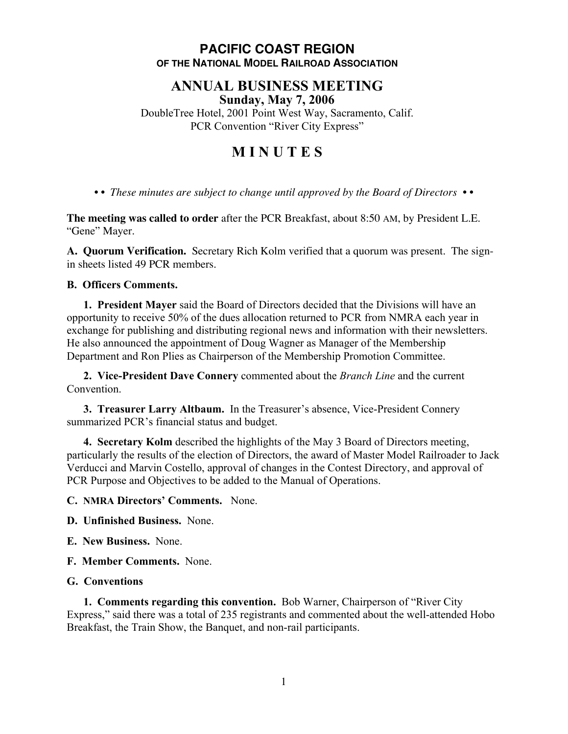## **PACIFIC COAST REGION OF THE NATIONAL MODEL RAILROAD ASSOCIATION**

## **ANNUAL BUSINESS MEETING Sunday, May 7, 2006**

DoubleTree Hotel, 2001 Point West Way, Sacramento, Calif. PCR Convention "River City Express"

# **M I N U T E S**

*• • These minutes are subject to change until approved by the Board of Directors • •*

**The meeting was called to order** after the PCR Breakfast, about 8:50 AM, by President L.E. "Gene" Mayer.

**A. Quorum Verification.** Secretary Rich Kolm verified that a quorum was present. The signin sheets listed 49 PCR members.

#### **B. Officers Comments.**

**1. President Mayer** said the Board of Directors decided that the Divisions will have an opportunity to receive 50% of the dues allocation returned to PCR from NMRA each year in exchange for publishing and distributing regional news and information with their newsletters. He also announced the appointment of Doug Wagner as Manager of the Membership Department and Ron Plies as Chairperson of the Membership Promotion Committee.

**2. Vice-President Dave Connery** commented about the *Branch Line* and the current Convention.

**3. Treasurer Larry Altbaum.** In the Treasurer's absence, Vice-President Connery summarized PCR's financial status and budget.

**4. Secretary Kolm** described the highlights of the May 3 Board of Directors meeting, particularly the results of the election of Directors, the award of Master Model Railroader to Jack Verducci and Marvin Costello, approval of changes in the Contest Directory, and approval of PCR Purpose and Objectives to be added to the Manual of Operations.

**C. NMRA Directors' Comments.** None.

**D. Unfinished Business.** None.

**E. New Business.** None.

**F. Member Comments.** None.

### **G. Conventions**

**1. Comments regarding this convention.** Bob Warner, Chairperson of "River City Express," said there was a total of 235 registrants and commented about the well-attended Hobo Breakfast, the Train Show, the Banquet, and non-rail participants.